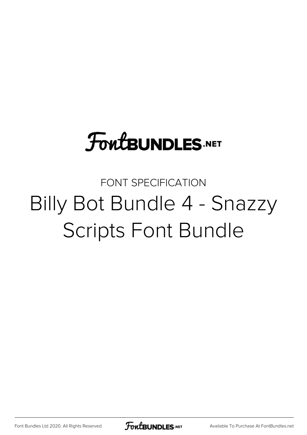## **FoutBUNDLES.NET**

FONT SPECIFICATION Billy Bot Bundle 4 - Snazzy Scripts Font Bundle

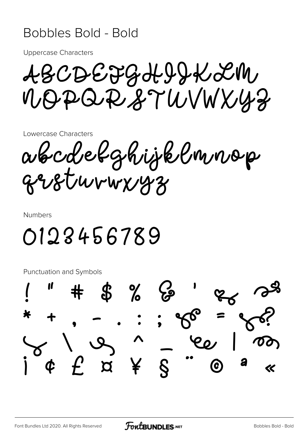#### Bobbles Bold - Bold

**Uppercase Characters** 

ABCDEFGHIJKLM NOPQRISTUVWX43

Lowercase Characters

abcdefghijklmnop

**Numbers** 

0123456789

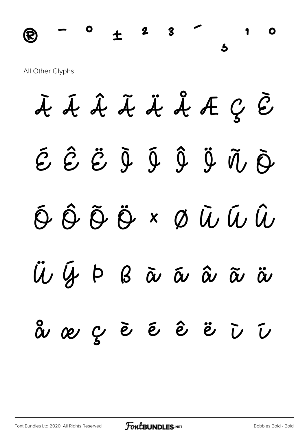

**À Á Â Ã Ä Å Æ Ç È É Ê Ë Ì Í Î Ï Ñ Ò Ó Ô Õ Ö × Ø Ù Ú Û Ü Ý Þ ß à á â ã ä å æ ç è é ê ë ì í**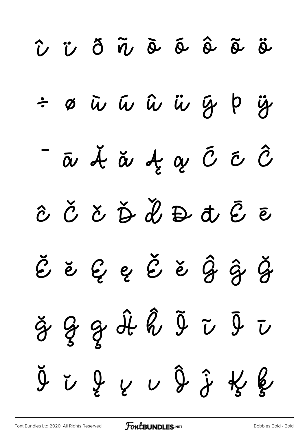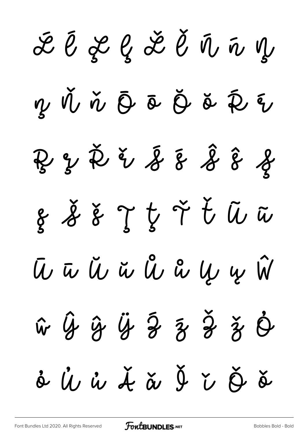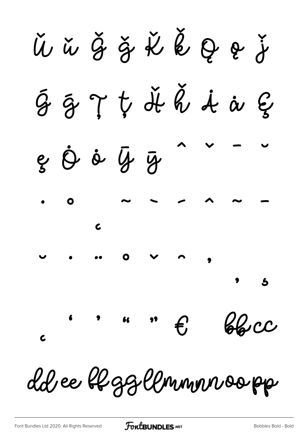Ŭ ŭ ĝ ğ k k Q e j G G J H H H A a G  $\dot{\theta}$   $\bar{\theta}$   $\bar{\theta}$  $rac{\dot{\mathbf{c}}}{\mathbf{s}}$  $220$ €  $\overline{\mathbf{c}}$ 

dd ee blggllmmmnoopp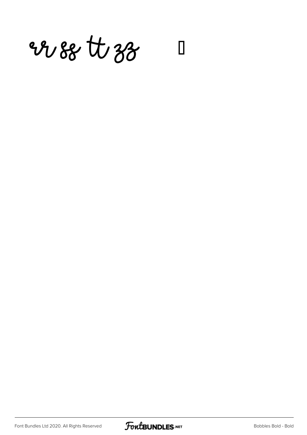W 88 tt 38 1

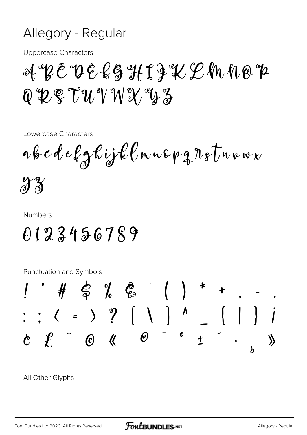#### Allegory - Regular

**Uppercase Characters** 

 $\mathcal{A}$  of  $\mathcal{B}$   $\mathcal{C}$  of  $\mathcal{G}$  of  $\mathcal{H}$   $\mathcal{D}$  of  $\mathcal{A}$   $\mathcal{L}$   $\mathcal{D}$   $\mathcal{M}$   $\mathcal{N}$   $\mathcal{D}$   $\mathcal{P}$ 6 2 2 7 2 1 W 2 4 3

Lowercase Characters

abcdefghijklmnopgrotuvwx  $\mathcal{X}^2$ 

**Numbers** 

0123456789

Punctuation and Symbols



All Other Glyphs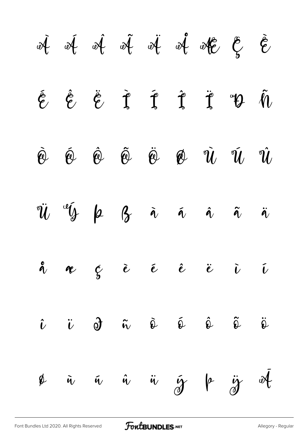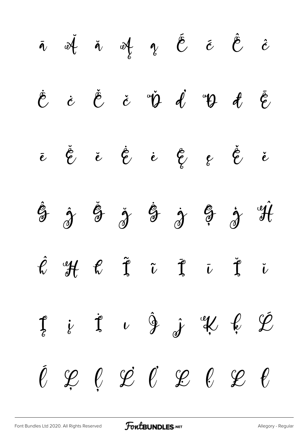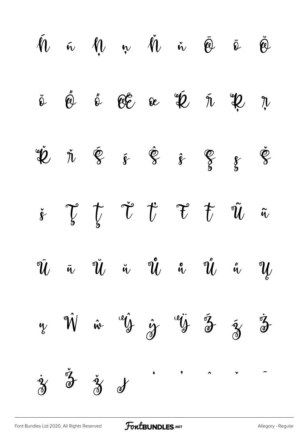|  | $\begin{array}{ccccccccccccccccc} \tilde{m} & \tilde{m} & \tilde{m} & \tilde{m} & \tilde{m} & \tilde{m} & \tilde{m} & \tilde{m} & \tilde{m} & \tilde{m} & \tilde{m} & \tilde{m} & \tilde{m} & \tilde{m} & \tilde{m} & \tilde{m} & \tilde{m} & \tilde{m} & \tilde{m} & \tilde{m} & \tilde{m} & \tilde{m} & \tilde{m} & \tilde{m} & \tilde{m} & \tilde{m} & \tilde{m} & \tilde{m} & \tilde{m} & \tilde{m}$ |  |  |  |
|--|----------------------------------------------------------------------------------------------------------------------------------------------------------------------------------------------------------------------------------------------------------------------------------------------------------------------------------------------------------------------------------------------------------|--|--|--|
|  | $\check{\rho}$ $\acute{\varphi}$ $\mathring{\varphi}$ $\acute{\varphi}$ $\acute{\varphi}$ $\acute{\varphi}$ $\acute{\varphi}$ $\ddot{\varphi}$ $\ddot{\varphi}$                                                                                                                                                                                                                                          |  |  |  |
|  | $\check{\mathfrak{P}} \check{\mathfrak{h}} \check{\mathfrak{F}} \check{\mathfrak{F}} \check{\mathfrak{F}} \hat{\mathfrak{F}} \check{\mathfrak{F}} \check{\mathfrak{F}} \check{\mathfrak{F}}$                                                                                                                                                                                                             |  |  |  |
|  | $\begin{array}{ccccccccc}\xi&\zeta&\zeta&\check{v}&\check{t}&\check{v}&\check{u}&\check{u}\end{array}$                                                                                                                                                                                                                                                                                                   |  |  |  |
|  | $\bar{u}$ ā $\dot{u}$ ä $\mathring{u}$ å $\mathring{u}$ å $\mathring{u}$ ä                                                                                                                                                                                                                                                                                                                               |  |  |  |
|  | $\psi$ $\hat{W}$ $\hat{w}$ $\hat{y}$ $\hat{y}$ $\hat{y}$ $\hat{y}$ $\hat{z}$ $\hat{z}$                                                                                                                                                                                                                                                                                                                   |  |  |  |
|  | $\dot{\mathcal{X}}$ $\ddot{\mathcal{Y}}$ $\dot{\mathcal{Y}}$ $\dot{\mathcal{Y}}$ $\dot{\mathcal{Y}}$ $\dot{\mathcal{Y}}$ $\dot{\mathcal{Y}}$                                                                                                                                                                                                                                                             |  |  |  |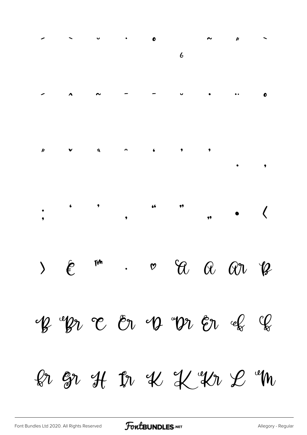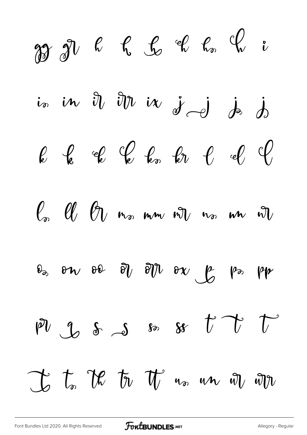33 
$$
n
$$
  $n$   $n$   $n$   $n$   $n$   $n$   $n$   $n$   $n$   $n$   $n$   $n$   $n$   $n$   $n$   $n$   $n$   $n$   $n$   $n$   $n$   $n$   $n$   $n$   $n$   $n$   $n$   $n$   $n$   $n$   $n$   $n$   $n$   $n$   $n$   $n$   $n$   $n$   $n$   $n$   $n$   $n$   $n$   $n$   $n$   $n$   $n$   $n$   $n$   $n$   $n$   $n$   $n$   $n$   $n$   $n$   $n$   $n$   $n$   $n$   $n$   $n$   $n$   $n$   $n$   $n$   $n$   $n$   $n$   $n$   $n$   $n$   $n$   $n$   $n$   $n$   $n$   $n$   $n$   $n$   $n$   $n$   $n$   $n$   $n$   $n$   $n$   $n$   $n$   $n$   $n$   $n$   $n$   $n$   $n$   $n$   $n$   $n$   $n$   $n$   $n$   $n$   $n$   $n$   $n$   $n$   $n$   $n$   $n$   $n$   $n$   $n$   $n$   $n$   $n$   $n$   $n$   $n$   $n$   $n$   $n$   $n$   $n$   $n$   $n$   $n$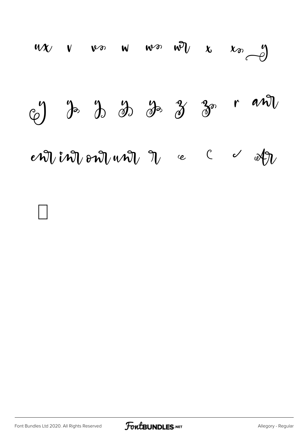$ux$   $v$   $v$   $w$   $w$   $w$   $w$   $y$   $x$   $x_0$   $y$ 6) Jo J J J Jo J J J T  $e\hat{w}$  in  $\hat{w}$  on  $w\hat{w}$  )  $\qquad e$   $\qquad c$   $\qquad d\hat{w}$ 

 $\Box$ 

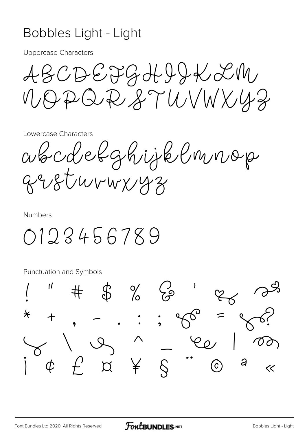#### Bobbles Light - Light

**Uppercase Characters** 

ABCDEJGHIJKLM VOPQR STUVWX43

Lowercase Characters

abcdefghijklmnop BERGMANNAZ

**Numbers** 

0123456789

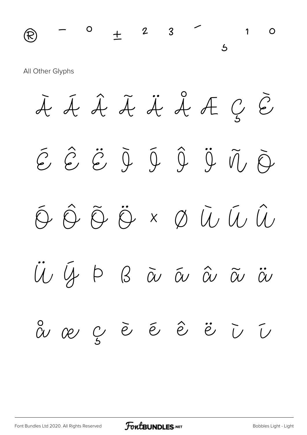

Ó Ô Õ Ö × Ø Ù Ú Û

U Ý Þ B à á v â ã ü

å æ ç è é ê ë ì í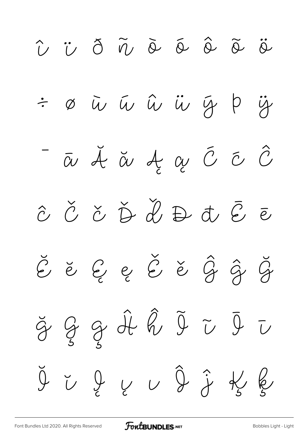$\hat{U}$   $\ddot{U}$   $\eth$   $\ddot{\theta}$   $\ddot{\theta}$   $\ddot{\theta}$   $\ddot{\theta}$   $\ddot{\theta}$ ÷ ø ū ū û ü ÿ þ ÿ - a  $\breve{\alpha}$  a  $\breve{\alpha}$  d  $\alpha$  O O O  $\begin{array}{ccc} \tilde{c} & \check{c} & \check{c} & \check{\Phi} & \check{\mathcal{U}} & \mathbb{D} & \check{\sigma} & \bar{\mathcal{C}} & \bar{\mathcal{C}} \end{array}$  $\check{\mathcal{E}}$   $\check{\mathcal{E}}$   $\check{\mathcal{E}}$   $\check{\mathcal{E}}$   $\check{\mathcal{E}}$   $\check{\mathcal{G}}$   $\hat{\mathcal{G}}$   $\check{\mathcal{G}}$  $\check{\mathcal{G}}\nsubseteq\mathcal{G}\nsubseteq\hat{\mathcal{H}}\nsubseteq\tilde{\mathcal{G}}\nsubseteq\tilde{\mathcal{G}}\nsubseteq\bar{\mathcal{G}}\nsubseteq\bar{\mathcal{G}}$  $\begin{array}{ccc} \check{A} & \check{C} & \check{C} & \check{C} & \check{C} & \check{C} & \check{C} & \check{C} & \check{C} & \check{C} & \check{C} & \check{C} & \check{C} & \check{C} & \check{C} & \check{C} & \check{C} & \check{C} & \check{C} & \check{C} & \check{C} & \check{C} & \check{C} & \check{C} & \check{C} & \check{C} & \check{C} & \check{C} & \check{C} & \check{C} & \check{C} & \check{C} & \check{C} & \check{C} & \check{C} & \check{$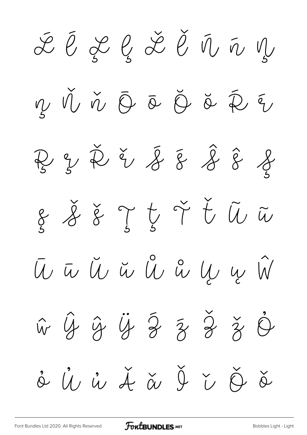Ĺ ĺ Ļ ļ Ľ ľ Ń ń Ņ ņ Ň ň Ō ō Ŏ ŏ Ŕ ŕ Ŗ ŗ Ř ř Ś ś Ŝ ŝ Ş  $g$   $g$   $g$   $g$   $\uparrow$   $f$   $\tilde{t}$   $\tilde{u}$   $\tilde{w}$ Ū ū Ŭ ŭ Ů ů Ų ų Ŵ ŵ Ŷ ŷ Ÿ Ź ź Ž ž Ơ ô Ŵ ŵ Ă ǎ Ď ~ Ŏ ŏ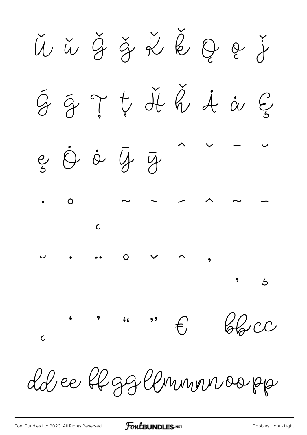ŬŬĞŠKŘQQŤ  $\tilde{g}$   $\tilde{g}$   $\uparrow$   $\check{t}$  de  $\check{h}$  de  $\dot{u}$  $\mathcal{C}$  $990007$ O  $\overline{O}$  $\overline{5}$  $\overline{\phantom{a}}$  $f$  $, 2$  $66$  $2CC$  $\overline{c}$ dd ee bl ggllmmmnoopp

FontBUNDLES.NET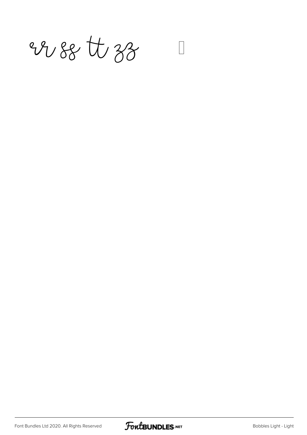29 0 88 tt 33 1

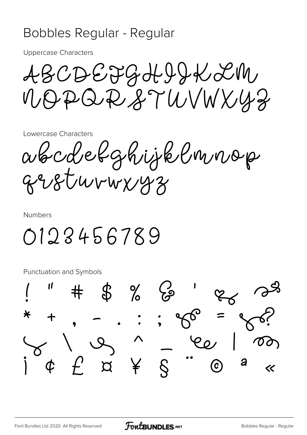#### Bobbles Regular - Regular

**Uppercase Characters** 

ABCDEFGHIJKEM MARQARTWVWX4Z

Lowercase Characters

abcdefghijklmnop

**Numbers** 

0123456789

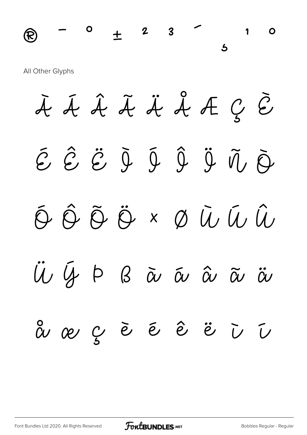

À Á Â Ã Ä Å Æ Ç È É Ê Ë Ì Í Î Ï Ñ Ò Ó Ô Õ Ö × Ø Ù Ú Û U Ý Þ B à á â â ă  $\overset{\circ}{\alpha}$   $\overset{\circ}{\alpha}$   $\overset{\circ}{\alpha}$   $\overset{\circ}{\alpha}$   $\overset{\circ}{\alpha}$   $\overset{\circ}{\alpha}$   $\overset{\circ}{\alpha}$   $\overset{\circ}{\alpha}$   $\overset{\circ}{\alpha}$   $\overset{\circ}{\alpha}$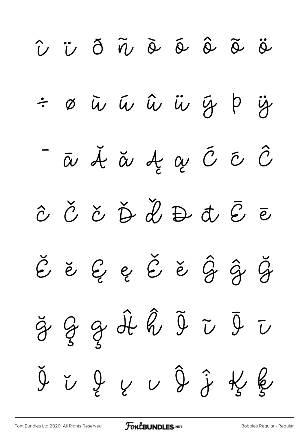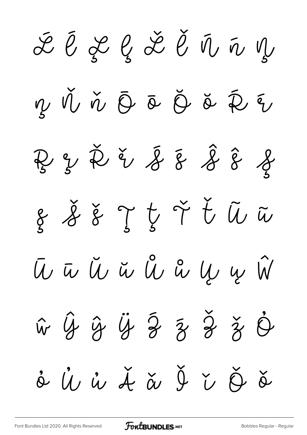Ĺ ĺ Ļ ļ Ľ ľ Ń ń Ņ ņ Ň ň Ō ō Ŏ ŏ Ŕ ŕ Ŗ ŗ Ř ř Ś ś Ŝ ŝ Ş  $g$   $g$   $g$   $g$   $g$   $t$   $\widetilde{v}$   $\widetilde{u}$   $\widetilde{w}$ Ū ū Ŭ ŭ Ů ů Ų ų Ŵ ŵ Ŷ ŷ Ÿ Ź ź Ž ž Ơ ô Ú ủ Á ǎ Ý č Ó ǒ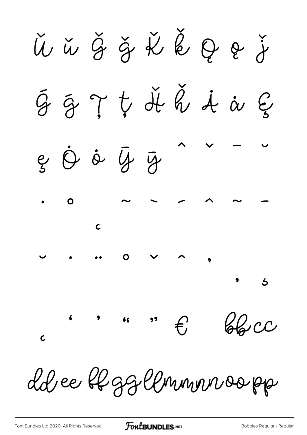Ŭ ŭ ĝ ĝ K k Q e j  $\tilde{g}$   $\tilde{g}$   $\uparrow$   $\check{t}$  de  $\check{h}$  de  $\dot{u}$  $\mathcal{C}$  $\dot{\circ}$   $\overline{y}$   $\overline{y}$  $e$   $\dot{\theta}$ O  $\mathbf O$  $f$  $^{\bullet}$  $20C$  $\overline{\mathcal{C}}$ dd ee bbggllmmmnoopp

**FoutBUNDLES.NET**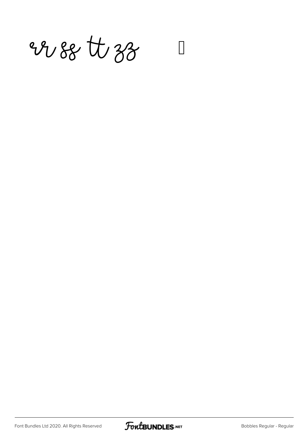29 0 88 tt 38 1

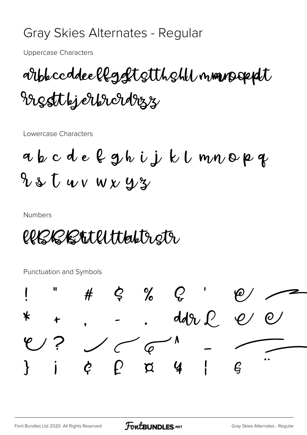#### Gray Skies Alternates - Regular

**Uppercase Characters** 

### arbbccddeellgglistthshil nimmagept resttkjerberdrez

Lowercase Characters

abcde lghij klmnopq  $928Uuvwxyy$ 

**Numbers** 

PRESERTICITIONSTE

Punctuation and Symbols



**FoutBUNDLES.NET**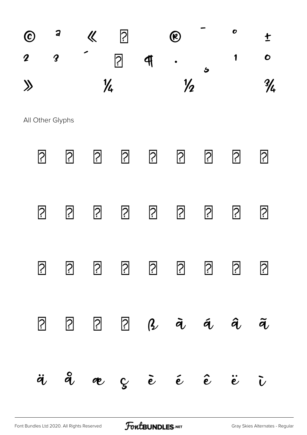

## À Á Â Ã Ä Å Æ Ç È É Ê Ë Ì Í Î Ï Ð Ñ Ò Ó Ô Õ Ö × Ø Ù Ú  $\hat{U}$   $\ddot{U}$   $\dot{Y}$   $\beta$   $\ddot{a}$   $\ddot{a}$   $\ddot{a}$   $\ddot{a}$ ä å æ ç è é ê ë ì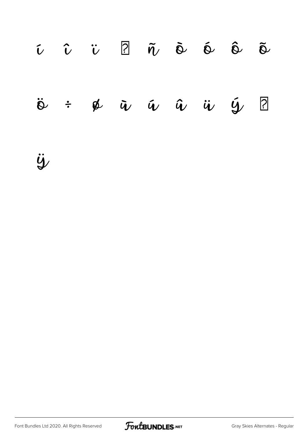# $\tilde{\iota}$   $\tilde{\iota}$   $\tilde{\upsilon}$   $\tilde{\upsilon}$   $\tilde{\upsilon}$   $\tilde{\upsilon}$   $\tilde{\upsilon}$   $\tilde{\upsilon}$   $\tilde{\upsilon}$ ö ÷ ø ù ú û ü ý þ

ÿ

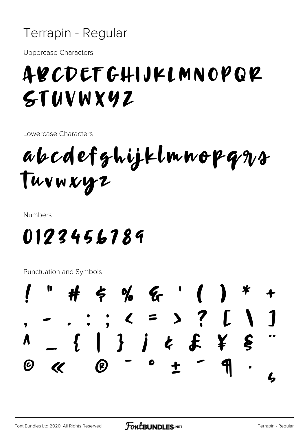#### Terrapin - Regular

**Uppercase Characters** 

### ABCDEFGHIJKLMNOPQR STUVWXYZ

Lowercase Characters

abcdefghijklmnopqns Tuvwxyz

**Numbers** 

### 0123456789

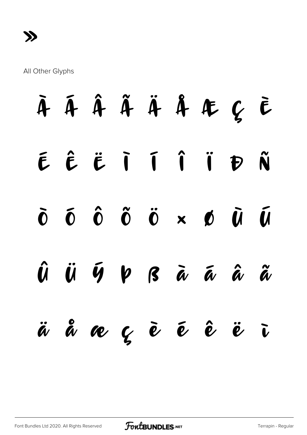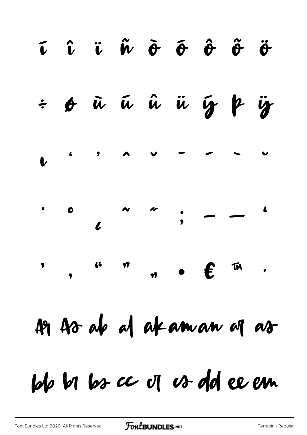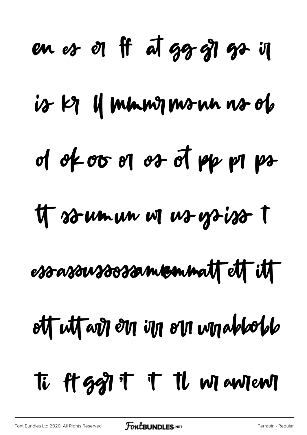# en es et it at gerejt es il is kg 11 mmmgmsnu ns ob of of oo of or of my m pr It sommen wil us goisso t essassanssossammemmatt ett itt ett utt av den im een wondbook Ti ft gejit it il wiewiewi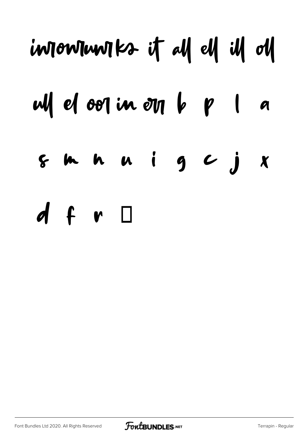## inviewinvites it all ell ill oll

## ull el oorinoon b p l a

## s m n n i g c j x

## $d$  f  $r$   $\Box$

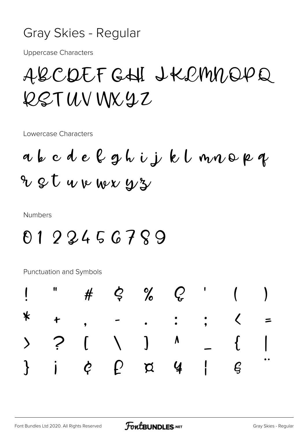#### Gray Skies - Regular

**Uppercase Characters** 

### ABCDEFGHI JKRMNOPQ RSTUV WXYZ

Lowercase Characters

abcde lghijklmnopq  $\mathcal{V}$  s t u v w x y z

**Numbers** 

#### 0122456789

| $\frac{1}{2}$ " # $\zeta$ % $\zeta$ ' ( ) |  |  |  |  |
|-------------------------------------------|--|--|--|--|
|                                           |  |  |  |  |
|                                           |  |  |  |  |
|                                           |  |  |  |  |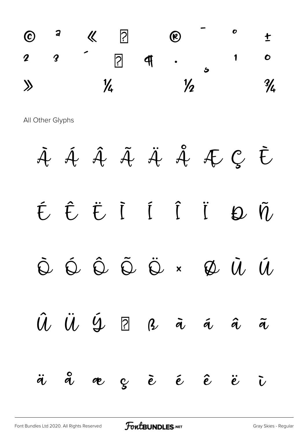

A Á Â Ã Ä Å Å Æ Ç Ē ÉÊËĪÍÎ  $\ddot{I}$  $\mathfrak{D}$   $\tilde{\eta}$  $\begin{array}{ccc} \tilde{Q} & \tilde{Q} & \tilde{Q} & \tilde{Q} & \tilde{Q} & \tilde{x} \end{array}$  $\tilde{U}$  $\emptyset$   $\mathcal{U}$  $\hat{u}$   $\hat{u}$   $\hat{u}$   $\infty$  $\hat{a}$  $\tilde{a}$  $\tilde{a}$  $\tilde{a}$  $\overset{\circ}{a}$  $\c{c}$   $\c{e}$   $\c{e}$  $\ddot{\boldsymbol{a}}$  $\hat{e}$  $\ddot{e}$ æ  $\tilde{U}$